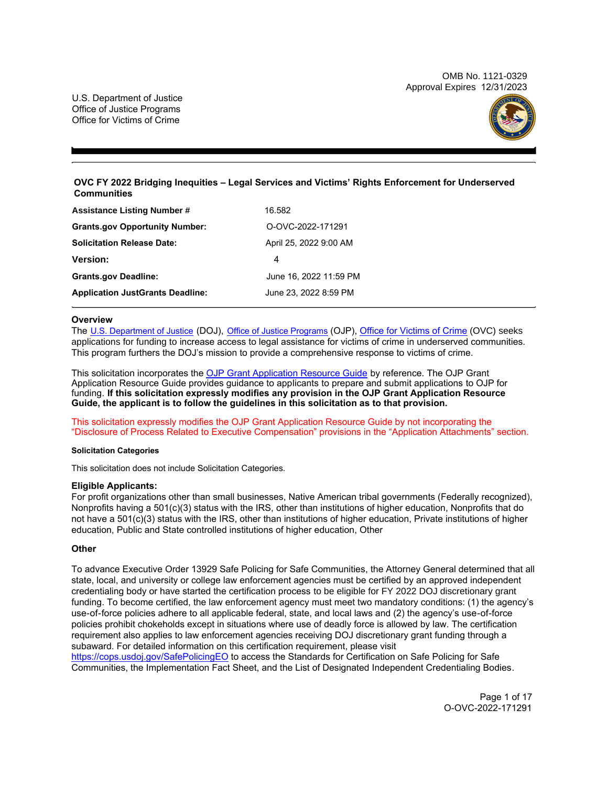OMB No. 1121-0329 Approval Expires 12/31/2023

U.S. Department of Justice Office of Justice Programs Office for Victims of Crime



# **OVC FY 2022 Bridging Inequities – Legal Services and Victims' Rights Enforcement for Underserved Communities**

| <b>Assistance Listing Number #</b>      | 16.582                 |
|-----------------------------------------|------------------------|
| <b>Grants.gov Opportunity Number:</b>   | O-OVC-2022-171291      |
| <b>Solicitation Release Date:</b>       | April 25, 2022 9:00 AM |
| <b>Version:</b>                         | 4                      |
| <b>Grants.gov Deadline:</b>             | June 16, 2022 11:59 PM |
| <b>Application JustGrants Deadline:</b> | June 23, 2022 8:59 PM  |

# **Overview**

The [U.S. Department of Justice](https://www.usdoj.gov/) (DOJ), [Office of Justice Programs](https://www.ojp.usdoj.gov/) (OJP), [Office for Victims of Crime](http://www.ovc.ojp.gov/) (OVC) seeks applications for funding to increase access to legal assistance for victims of crime in underserved communities. This program furthers the DOJ's mission to provide a comprehensive response to victims of crime.

This solicitation incorporates the [OJP Grant Application Resource Guide](https://www.ojp.gov/funding/Apply/Resources/Grant-App-Resource-Guide.htm) by reference. The OJP Grant Application Resource Guide provides guidance to applicants to prepare and submit applications to OJP for funding. **If this solicitation expressly modifies any provision in the OJP Grant Application Resource Guide, the applicant is to follow the guidelines in this solicitation as to that provision.** 

This solicitation expressly modifies the OJP Grant Application Resource Guide by not incorporating the "Disclosure of Process Related to Executive Compensation" provisions in the "Application Attachments" section.

#### **Solicitation Categories**

This solicitation does not include Solicitation Categories.

# **Eligible Applicants:**

For profit organizations other than small businesses, Native American tribal governments (Federally recognized), Nonprofits having a 501(c)(3) status with the IRS, other than institutions of higher education, Nonprofits that do not have a 501(c)(3) status with the IRS, other than institutions of higher education, Private institutions of higher education, Public and State controlled institutions of higher education, Other

# **Other**

To advance Executive Order 13929 Safe Policing for Safe Communities, the Attorney General determined that all state, local, and university or college law enforcement agencies must be certified by an approved independent credentialing body or have started the certification process to be eligible for FY 2022 DOJ discretionary grant funding. To become certified, the law enforcement agency must meet two mandatory conditions: (1) the agency's use-of-force policies adhere to all applicable federal, state, and local laws and (2) the agency's use-of-force policies prohibit chokeholds except in situations where use of deadly force is allowed by law. The certification requirement also applies to law enforcement agencies receiving DOJ discretionary grant funding through a subaward. For detailed information on this certification requirement, please visit

<https://cops.usdoj.gov/SafePolicingEO> to access the Standards for Certification on Safe Policing for Safe Communities, the Implementation Fact Sheet, and the List of Designated Independent Credentialing Bodies.

> Page 1 of 17 O-OVC-2022-171291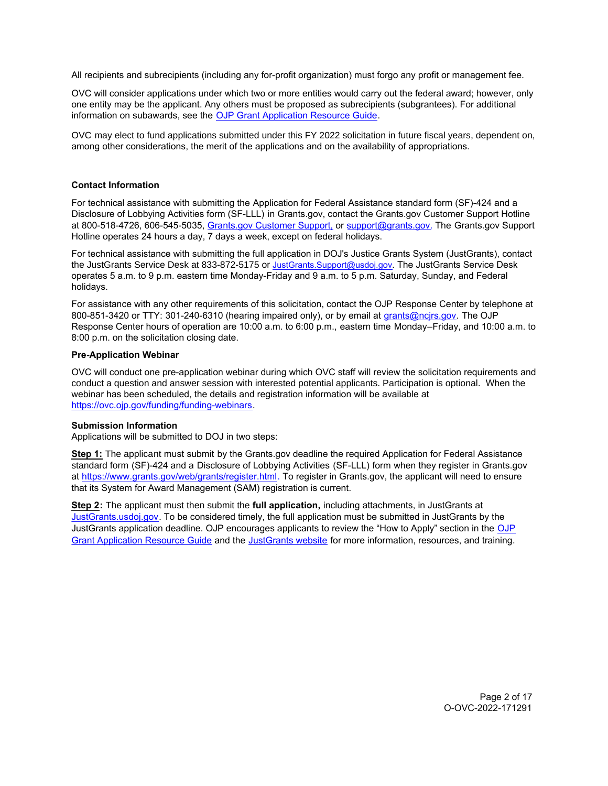<span id="page-1-0"></span>All recipients and subrecipients (including any for-profit organization) must forgo any profit or management fee.

OVC will consider applications under which two or more entities would carry out the federal award; however, only one entity may be the applicant. Any others must be proposed as subrecipients (subgrantees). For additional information on subawards, see the [OJP Grant Application Resource Guide.](https://www.ojp.gov/funding/Apply/Resources/Grant-App-Resource-Guide.htm)

OVC may elect to fund applications submitted under this FY 2022 solicitation in future fiscal years, dependent on, among other considerations, the merit of the applications and on the availability of appropriations.

# **Contact Information**

For technical assistance with submitting the Application for Federal Assistance standard form (SF)-424 and a Disclosure of Lobbying Activities form (SF-LLL) in Grants.gov, contact the Grants.gov Customer Support Hotline at 800-518-4726, 606-545-5035, [Grants.gov Customer Support,](https://www.grants.gov/web/grants/support.html) or [support@grants.gov.](mailto:support@grants.gov) The Grants.gov Support Hotline operates 24 hours a day, 7 days a week, except on federal holidays.

For technical assistance with submitting the full application in DOJ's Justice Grants System (JustGrants), contact the JustGrants Service Desk at 833-872-5175 or [JustGrants.Support@usdoj.gov](mailto:JustGrants.Support@usdoj.gov). The JustGrants Service Desk operates 5 a.m. to 9 p.m. eastern time Monday-Friday and 9 a.m. to 5 p.m. Saturday, Sunday, and Federal holidays.

For assistance with any other requirements of this solicitation, contact the OJP Response Center by telephone at 800-851-3420 or TTY: 301-240-6310 (hearing impaired only), or by email at grants@ncjrs.gov. The OJP Response Center hours of operation are 10:00 a.m. to 6:00 p.m., eastern time Monday–Friday, and 10:00 a.m. to 8:00 p.m. on the solicitation closing date.

# **Pre-Application Webinar**

OVC will conduct one pre-application webinar during which OVC staff will review the solicitation requirements and conduct a question and answer session with interested potential applicants. Participation is optional. When the webinar has been scheduled, the details and registration information will be available at [https://ovc.ojp.gov/funding/funding-webinars.](https://ovc.ojp.gov/funding/funding-webinars)

# **Submission Information**

Applications will be submitted to DOJ in two steps:

**Step 1:** The applicant must submit by the Grants.gov deadline the required Application for Federal Assistance standard form (SF)-424 and a Disclosure of Lobbying Activities (SF-LLL) form when they register in Grants.gov at<https://www.grants.gov/web/grants/register.html>. To register in Grants.gov, the applicant will need to ensure that its System for Award Management (SAM) registration is current.

**Step 2:** The applicant must then submit the **full application,** including attachments, in JustGrants at [JustGrants.usdoj.gov.](https://justicegrants.usdoj.gov/) To be considered timely, the full application must be submitted in JustGrants by the JustGrants application deadline. OJP encourages applicants to review the "How to Apply" section in the [OJP](https://www.ojp.gov/funding/apply/ojp-grant-application-resource-guide#apply) [Grant Application Resource Guide](https://www.ojp.gov/funding/apply/ojp-grant-application-resource-guide#apply) and the [JustGrants website](https://justicegrants.usdoj.gov/news) for more information, resources, and training.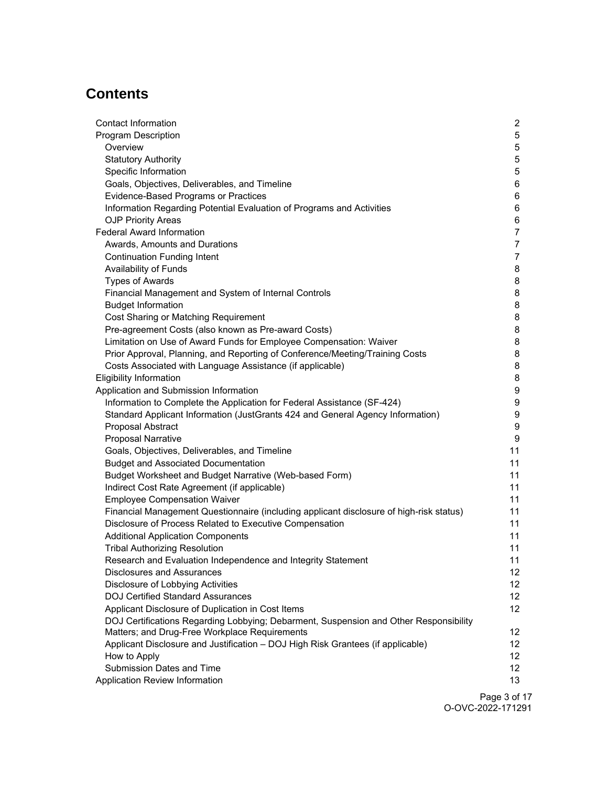# **Contents**

| Contact Information                                                                     | 2               |
|-----------------------------------------------------------------------------------------|-----------------|
| <b>Program Description</b>                                                              | 5               |
| Overview                                                                                | 5               |
| <b>Statutory Authority</b>                                                              | 5               |
| Specific Information                                                                    | 5               |
| Goals, Objectives, Deliverables, and Timeline                                           | 6               |
| Evidence-Based Programs or Practices                                                    | 6               |
| Information Regarding Potential Evaluation of Programs and Activities                   | 6               |
| <b>OJP Priority Areas</b>                                                               | 6               |
| <b>Federal Award Information</b>                                                        | $\overline{7}$  |
| Awards, Amounts and Durations                                                           | $\overline{7}$  |
| <b>Continuation Funding Intent</b>                                                      | $\overline{7}$  |
| Availability of Funds                                                                   | 8               |
| <b>Types of Awards</b>                                                                  | 8               |
| Financial Management and System of Internal Controls                                    | 8               |
| <b>Budget Information</b>                                                               | 8               |
| Cost Sharing or Matching Requirement                                                    | 8               |
| Pre-agreement Costs (also known as Pre-award Costs)                                     | 8               |
| Limitation on Use of Award Funds for Employee Compensation: Waiver                      | 8               |
| Prior Approval, Planning, and Reporting of Conference/Meeting/Training Costs            | 8               |
| Costs Associated with Language Assistance (if applicable)                               | 8               |
| <b>Eligibility Information</b>                                                          | 8               |
| Application and Submission Information                                                  | 9               |
| Information to Complete the Application for Federal Assistance (SF-424)                 | 9               |
| Standard Applicant Information (JustGrants 424 and General Agency Information)          | 9               |
| Proposal Abstract                                                                       | 9               |
| <b>Proposal Narrative</b>                                                               | 9               |
| Goals, Objectives, Deliverables, and Timeline                                           | 11              |
| <b>Budget and Associated Documentation</b>                                              | 11              |
| Budget Worksheet and Budget Narrative (Web-based Form)                                  | 11              |
| Indirect Cost Rate Agreement (if applicable)                                            | 11              |
| <b>Employee Compensation Waiver</b>                                                     | 11              |
| Financial Management Questionnaire (including applicant disclosure of high-risk status) | 11              |
| Disclosure of Process Related to Executive Compensation                                 | 11              |
| <b>Additional Application Components</b>                                                | 11              |
| <b>Tribal Authorizing Resolution</b>                                                    | 11              |
| Research and Evaluation Independence and Integrity Statement                            | 11              |
| Disclosures and Assurances                                                              | 12              |
| Disclosure of Lobbying Activities                                                       | 12 <sup>°</sup> |
| <b>DOJ Certified Standard Assurances</b>                                                | 12 <sup>2</sup> |
| Applicant Disclosure of Duplication in Cost Items                                       | 12 <sup>2</sup> |
| DOJ Certifications Regarding Lobbying; Debarment, Suspension and Other Responsibility   |                 |
| Matters; and Drug-Free Workplace Requirements                                           | 12              |
| Applicant Disclosure and Justification - DOJ High Risk Grantees (if applicable)         | 12 <sup>°</sup> |
| How to Apply                                                                            | 12 <sup>°</sup> |
| Submission Dates and Time                                                               | 12 <sup>°</sup> |
| Application Review Information                                                          | 13              |
|                                                                                         | Page 3 of 1     |

Page 3 of 17 O-OVC-2022-171291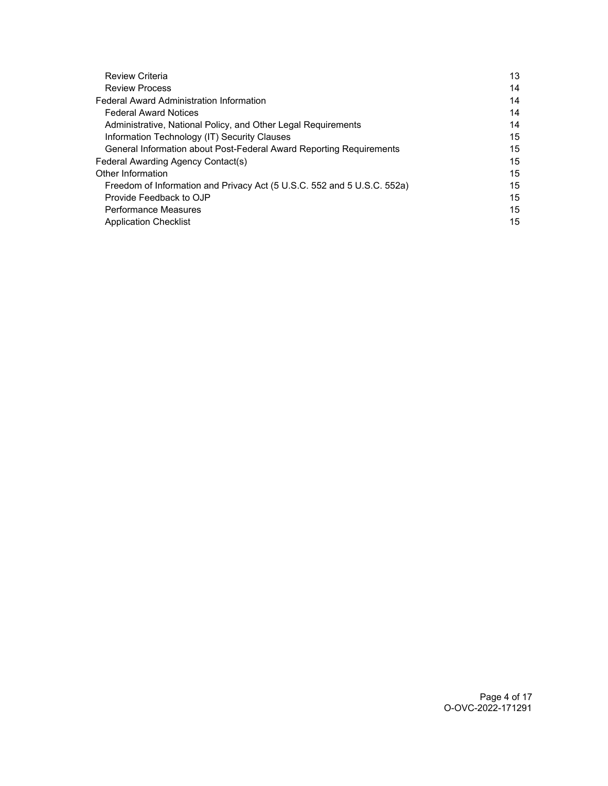| <b>Review Criteria</b>                                                  | 13 |
|-------------------------------------------------------------------------|----|
| <b>Review Process</b>                                                   | 14 |
| <b>Federal Award Administration Information</b>                         | 14 |
| <b>Federal Award Notices</b>                                            | 14 |
| Administrative, National Policy, and Other Legal Requirements           | 14 |
| Information Technology (IT) Security Clauses                            | 15 |
| General Information about Post-Federal Award Reporting Requirements     | 15 |
| Federal Awarding Agency Contact(s)                                      | 15 |
| Other Information                                                       | 15 |
| Freedom of Information and Privacy Act (5 U.S.C. 552 and 5 U.S.C. 552a) | 15 |
| Provide Feedback to OJP                                                 | 15 |
| <b>Performance Measures</b>                                             | 15 |
| <b>Application Checklist</b>                                            | 15 |
|                                                                         |    |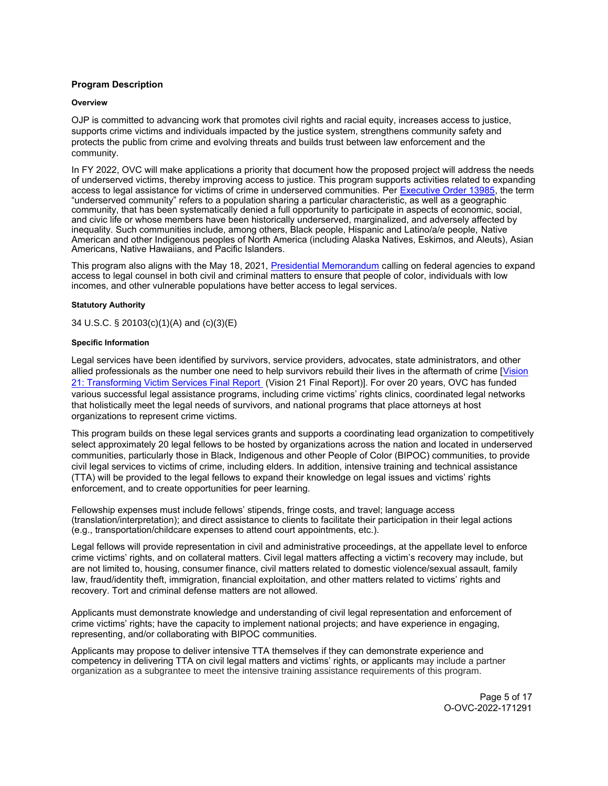# <span id="page-4-0"></span>**Program Description**

### **Overview**

OJP is committed to advancing work that promotes civil rights and racial equity, increases access to justice, supports crime victims and individuals impacted by the justice system, strengthens community safety and protects the public from crime and evolving threats and builds trust between law enforcement and the community.

In FY 2022, OVC will make applications a priority that document how the proposed project will address the needs of underserved victims, thereby improving access to justice. This program supports activities related to expanding access to legal assistance for victims of crime in underserved communities. Per [Executive Order 13985,](https://www.whitehouse.gov/briefing-room/presidential-actions/2021/01/20/executive-order-advancing-racial-equity-and-support-for-underserved-communities-through-the-federal-government/) the term "underserved community" refers to a population sharing a particular characteristic, as well as a geographic community, that has been systematically denied a full opportunity to participate in aspects of economic, social, and civic life or whose members have been historically underserved, marginalized, and adversely affected by inequality. Such communities include, among others, Black people, Hispanic and Latino/a/e people, Native American and other Indigenous peoples of North America (including Alaska Natives, Eskimos, and Aleuts), Asian Americans, Native Hawaiians, and Pacific Islanders.

This program also aligns with the May 18, 2021, Presidential Memorandum calling on federal agencies to expand access to legal counsel in both civil and criminal matters to ensure that people of color, individuals with low incomes, and other vulnerable populations have better access to legal services.

# **Statutory Authority**

34 U.S.C. § 20103(c)(1)(A) and (c)(3)(E)

# **Specific Information**

Legal services have been identified by survivors, service providers, advocates, state administrators, and other allied professionals as the number one need to help survivors rebuild their lives in the aftermath of crime [Vision [21: Transforming Victim Services Final Report](https://ovc.ojp.gov/sites/g/files/xyckuh226/files/media/document/Vision21_Report.pdf) (Vision 21 Final Report)]. For over 20 years, OVC has funded various successful legal assistance programs, including crime victims' rights clinics, coordinated legal networks that holistically meet the legal needs of survivors, and national programs that place attorneys at host organizations to represent crime victims.

This program builds on these legal services grants and supports a coordinating lead organization to competitively select approximately 20 legal fellows to be hosted by organizations across the nation and located in underserved communities, particularly those in Black, Indigenous and other People of Color (BIPOC) communities, to provide civil legal services to victims of crime, including elders. In addition, intensive training and technical assistance (TTA) will be provided to the legal fellows to expand their knowledge on legal issues and victims' rights enforcement, and to create opportunities for peer learning.

Fellowship expenses must include fellows' stipends, fringe costs, and travel; language access (translation/interpretation); and direct assistance to clients to facilitate their participation in their legal actions (e.g., transportation/childcare expenses to attend court appointments, etc.).

Legal fellows will provide representation in civil and administrative proceedings, at the appellate level to enforce crime victims' rights, and on collateral matters. Civil legal matters affecting a victim's recovery may include, but are not limited to, housing, consumer finance, civil matters related to domestic violence/sexual assault, family law, fraud/identity theft, immigration, financial exploitation, and other matters related to victims' rights and recovery. Tort and criminal defense matters are not allowed.

Applicants must demonstrate knowledge and understanding of civil legal representation and enforcement of crime victims' rights; have the capacity to implement national projects; and have experience in engaging, representing, and/or collaborating with BIPOC communities.

Applicants may propose to deliver intensive TTA themselves if they can demonstrate experience and competency in delivering TTA on civil legal matters and victims' rights, or applicants may include a partner organization as a subgrantee to meet the intensive training assistance requirements of this program.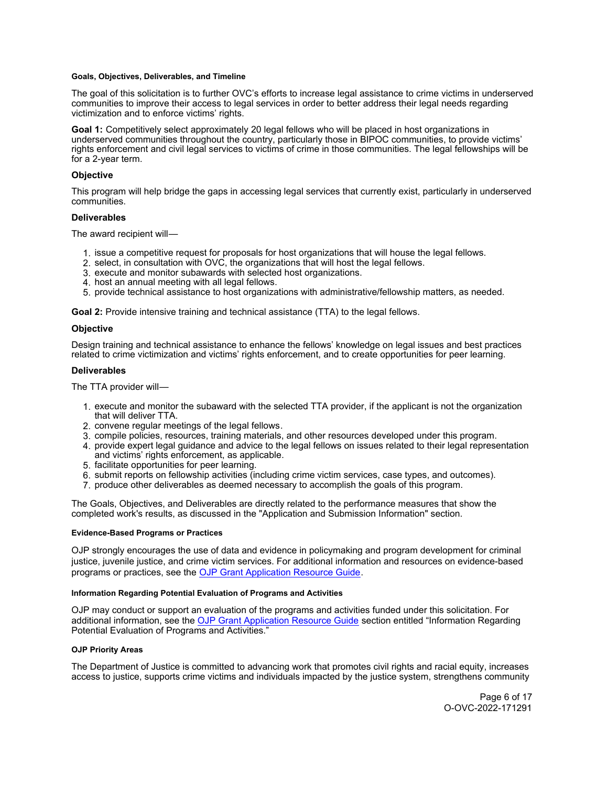#### <span id="page-5-0"></span>**Goals, Objectives, Deliverables, and Timeline**

The goal of this solicitation is to further OVC's efforts to increase legal assistance to crime victims in underserved communities to improve their access to legal services in order to better address their legal needs regarding victimization and to enforce victims' rights.

**Goal 1:** Competitively select approximately 20 legal fellows who will be placed in host organizations in underserved communities throughout the country, particularly those in BIPOC communities, to provide victims' rights enforcement and civil legal services to victims of crime in those communities. The legal fellowships will be for a 2-year term.

## **Objective**

This program will help bridge the gaps in accessing legal services that currently exist, particularly in underserved communities.

#### **Deliverables**

The award recipient will—

- 1. issue a competitive request for proposals for host organizations that will house the legal fellows.
- 2. select, in consultation with OVC, the organizations that will host the legal fellows.
- 3. execute and monitor subawards with selected host organizations.
- 4. host an annual meeting with all legal fellows.
- 5. provide technical assistance to host organizations with administrative/fellowship matters, as needed.

**Goal 2:** Provide intensive training and technical assistance (TTA) to the legal fellows.

#### **Objective**

Design training and technical assistance to enhance the fellows' knowledge on legal issues and best practices related to crime victimization and victims' rights enforcement, and to create opportunities for peer learning.

#### **Deliverables**

The TTA provider will—

- 1. execute and monitor the subaward with the selected TTA provider, if the applicant is not the organization that will deliver TTA.
- 2. convene regular meetings of the legal fellows.
- 3. compile policies, resources, training materials, and other resources developed under this program.
- 4. provide expert legal guidance and advice to the legal fellows on issues related to their legal representation and victims' rights enforcement, as applicable.
- 5. facilitate opportunities for peer learning.
- 6. submit reports on fellowship activities (including crime victim services, case types, and outcomes).
- 7. produce other deliverables as deemed necessary to accomplish the goals of this program.

The Goals, Objectives, and Deliverables are directly related to the performance measures that show the completed work's results, as discussed in the "Application and Submission Information" section.

#### **Evidence-Based Programs or Practices**

OJP strongly encourages the use of data and evidence in policymaking and program development for criminal justice, juvenile justice, and crime victim services. For additional information and resources on evidence-based programs or practices, see the [OJP Grant Application Resource Guide.](https://www.ojp.gov/funding/apply/ojp-grant-application-resource-guide#evidence-based)

#### **Information Regarding Potential Evaluation of Programs and Activities**

OJP may conduct or support an evaluation of the programs and activities funded under this solicitation. For additional information, see the [OJP Grant Application Resource Guide](https://www.ojp.gov/funding/apply/ojp-grant-application-resource-guide#potential-evaluation) section entitled "Information Regarding Potential Evaluation of Programs and Activities."

## **OJP Priority Areas**

The Department of Justice is committed to advancing work that promotes civil rights and racial equity, increases access to justice, supports crime victims and individuals impacted by the justice system, strengthens community

> Page 6 of 17 O-OVC-2022-171291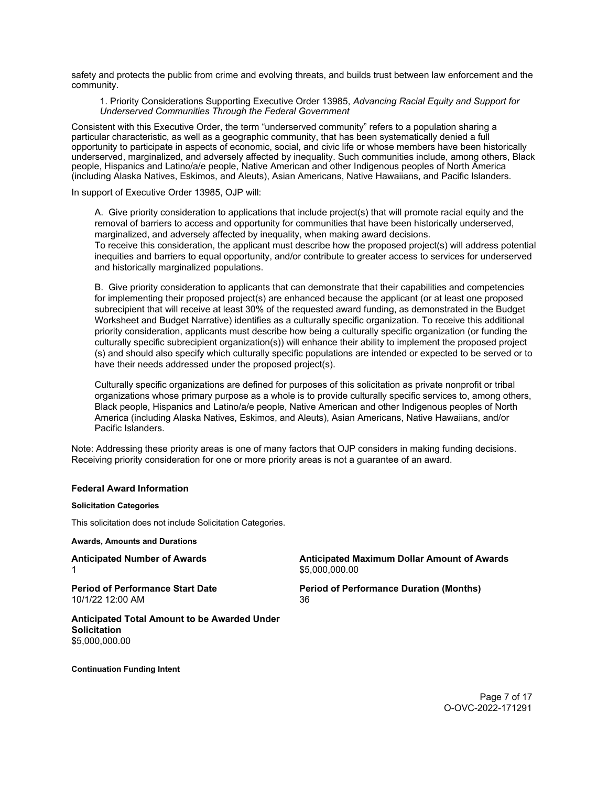<span id="page-6-0"></span>safety and protects the public from crime and evolving threats, and builds trust between law enforcement and the community.

1. Priority Considerations Supporting Executive Order 13985, *Advancing Racial Equity and Support for Underserved Communities Through the Federal Government*

Consistent with this Executive Order, the term "underserved community" refers to a population sharing a particular characteristic, as well as a geographic community, that has been systematically denied a full opportunity to participate in aspects of economic, social, and civic life or whose members have been historically underserved, marginalized, and adversely affected by inequality. Such communities include, among others, Black people, Hispanics and Latino/a/e people, Native American and other Indigenous peoples of North America (including Alaska Natives, Eskimos, and Aleuts), Asian Americans, Native Hawaiians, and Pacific Islanders.

In support of Executive Order 13985, OJP will:

A. Give priority consideration to applications that include project(s) that will promote racial equity and the removal of barriers to access and opportunity for communities that have been historically underserved, marginalized, and adversely affected by inequality, when making award decisions. To receive this consideration, the applicant must describe how the proposed project(s) will address potential

inequities and barriers to equal opportunity, and/or contribute to greater access to services for underserved and historically marginalized populations.

B. Give priority consideration to applicants that can demonstrate that their capabilities and competencies for implementing their proposed project(s) are enhanced because the applicant (or at least one proposed subrecipient that will receive at least 30% of the requested award funding, as demonstrated in the Budget Worksheet and Budget Narrative) identifies as a culturally specific organization. To receive this additional priority consideration, applicants must describe how being a culturally specific organization (or funding the culturally specific subrecipient organization(s)) will enhance their ability to implement the proposed project (s) and should also specify which culturally specific populations are intended or expected to be served or to have their needs addressed under the proposed project(s).

Culturally specific organizations are defined for purposes of this solicitation as private nonprofit or tribal organizations whose primary purpose as a whole is to provide culturally specific services to, among others, Black people, Hispanics and Latino/a/e people, Native American and other Indigenous peoples of North America (including Alaska Natives, Eskimos, and Aleuts), Asian Americans, Native Hawaiians, and/or Pacific Islanders.

Note: Addressing these priority areas is one of many factors that OJP considers in making funding decisions. Receiving priority consideration for one or more priority areas is not a guarantee of an award.

#### **Federal Award Information**

# **Solicitation Categories**

This solicitation does not include Solicitation Categories.

**Awards, Amounts and Durations** 

**Anticipated Number of Awards Anticipated Maximum Dollar Amount of Awards**  1 \$[5,000,000.00](https://5,000,000.00) \$5,000,000.00 \$5,000,000.00 \$5,000,000 \$5,000,000 \$5,000 \$5,000 \$

10/1/22 12:00 AM 36

**Period of Performance Start Date Period of Performance Duration (Months)** 

**Anticipated Total Amount to be Awarded Under Solicitation**  [\\$5,000,000.00](https://5,000,000.00) 

**Continuation Funding Intent**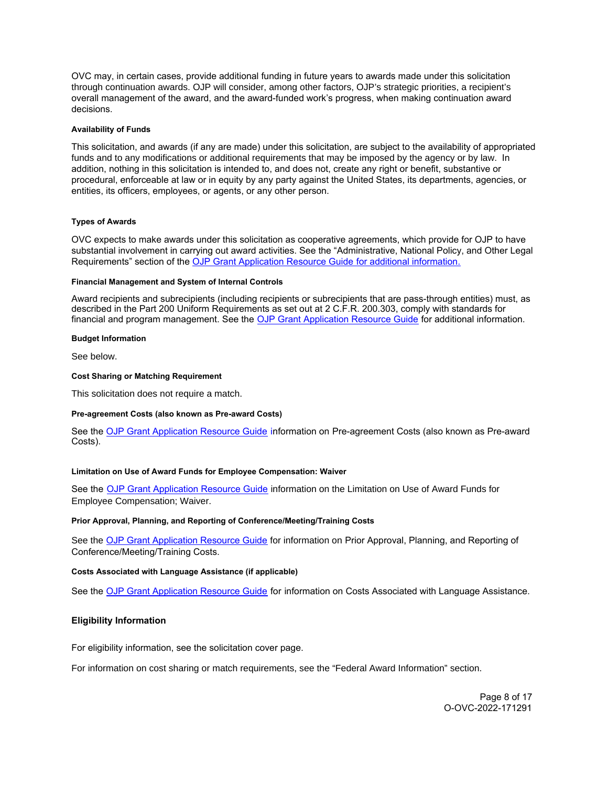<span id="page-7-0"></span>OVC may, in certain cases, provide additional funding in future years to awards made under this solicitation through continuation awards. OJP will consider, among other factors, OJP's strategic priorities, a recipient's overall management of the award, and the award-funded work's progress, when making continuation award decisions.

## **Availability of Funds**

This solicitation, and awards (if any are made) under this solicitation, are subject to the availability of appropriated funds and to any modifications or additional requirements that may be imposed by the agency or by law. In addition, nothing in this solicitation is intended to, and does not, create any right or benefit, substantive or procedural, enforceable at law or in equity by any party against the United States, its departments, agencies, or entities, its officers, employees, or agents, or any other person.

# **Types of Awards**

OVC expects to make awards under this solicitation as cooperative agreements, which provide for OJP to have substantial involvement in carrying out award activities. See the "Administrative, National Policy, and Other Legal Requirements" section of the [OJP Grant Application Resource Guide](https://ojp.gov/funding/Apply/Resources/Grant-App-Resource-Guide.htm) for additional information.

#### **Financial Management and System of Internal Controls**

Award recipients and subrecipients (including recipients or subrecipients that are pass-through entities) must, as described in the Part 200 Uniform Requirements as set out at 2 C.F.R. 200.303, comply with standards for financial and program management. See the [OJP Grant Application Resource Guide](https://www.ojp.gov/funding/apply/ojp-grant-application-resource-guide#fm-internal-controls) for additional information.

## **Budget Information**

See below.

#### **Cost Sharing or Matching Requirement**

This solicitation does not require a match.

#### **Pre-agreement Costs (also known as Pre-award Costs)**

See the [OJP Grant Application Resource Guide](https://www.ojp.gov/funding/apply/ojp-grant-application-resource-guide#pre-agreement-costs) information on Pre-agreement Costs (also known as Pre-award Costs).

# **Limitation on Use of Award Funds for Employee Compensation: Waiver**

See the [OJP Grant Application Resource Guide](https://www.ojp.gov/funding/apply/ojp-grant-application-resource-guide#limitation-use-award) information on the Limitation on Use of Award Funds for Employee Compensation; Waiver.

#### **Prior Approval, Planning, and Reporting of Conference/Meeting/Training Costs**

See the [OJP Grant Application Resource Guide](https://www.ojp.gov/funding/apply/ojp-grant-application-resource-guide#prior-approval) for information on Prior Approval, Planning, and Reporting of Conference/Meeting/Training Costs.

# **Costs Associated with Language Assistance (if applicable)**

See the [OJP Grant Application Resource Guide](https://www.ojp.gov/funding/apply/ojp-grant-application-resource-guide#costs-associated) for information on Costs Associated with Language Assistance.

# **Eligibility Information**

For eligibility information, see the solicitation cover page.

For information on cost sharing or match requirements, see the "Federal Award Information" section.

Page 8 of 17 O-OVC-2022-171291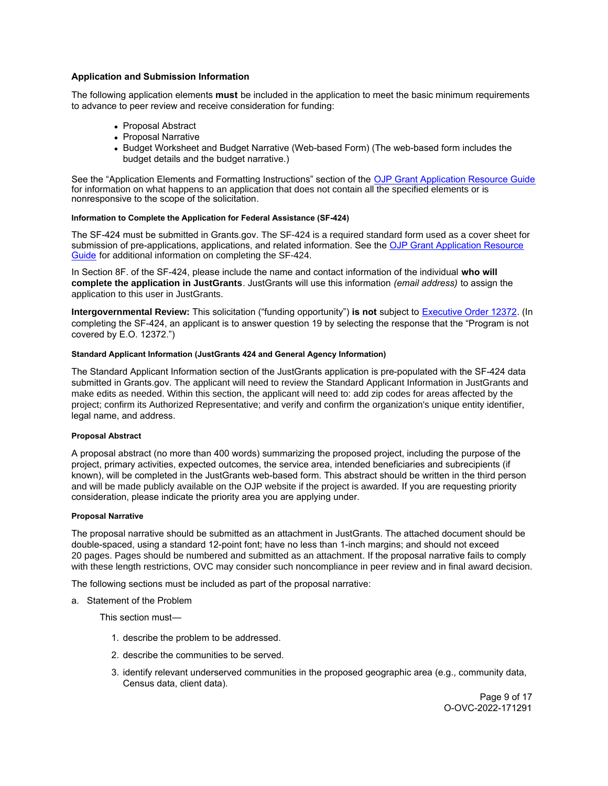# <span id="page-8-0"></span>**Application and Submission Information**

The following application elements **must** be included in the application to meet the basic minimum requirements to advance to peer review and receive consideration for funding:

- Proposal Abstract
- Proposal Narrative
- Budget Worksheet and Budget Narrative (Web-based Form) (The web-based form includes the budget details and the budget narrative.)

See the "Application Elements and Formatting Instructions" section of the [OJP Grant Application Resource Guide](https://www.ojp.gov/funding/apply/ojp-grant-application-resource-guide#application-elements)  for information on what happens to an application that does not contain all the specified elements or is nonresponsive to the scope of the solicitation*.* 

# **Information to Complete the Application for Federal Assistance (SF-424)**

The SF-424 must be submitted in [Grants.gov](https://Grants.gov). The SF-424 is a required standard form used as a cover sheet for submission of pre-applications, applications, and related information. See the [OJP Grant Application Resource](https://www.ojp.gov/funding/apply/ojp-grant-application-resource-guide#complete-application)  [Guide](https://www.ojp.gov/funding/apply/ojp-grant-application-resource-guide#complete-application) for additional information on completing the SF-424.

In Section 8F. of the SF-424, please include the name and contact information of the individual **who will complete the application in JustGrants**. JustGrants will use this information *(email address)* to assign the application to this user in JustGrants.

**Intergovernmental Review:** This solicitation ("funding opportunity") **is not** subject to [Executive Order 12372.](https://www.archives.gov/federal-register/codification/executive-order/12372.html) (In completing the SF-424, an applicant is to answer question 19 by selecting the response that the "Program is not covered by E.O. 12372.")

# **Standard Applicant Information (JustGrants 424 and General Agency Information)**

The Standard Applicant Information section of the JustGrants application is pre-populated with the SF-424 data submitted in [Grants.gov](https://Grants.gov). The applicant will need to review the Standard Applicant Information in JustGrants and make edits as needed. Within this section, the applicant will need to: add zip codes for areas affected by the project; confirm its Authorized Representative; and verify and confirm the organization's unique entity identifier, legal name, and address.

# **Proposal Abstract**

A proposal abstract (no more than 400 words) summarizing the proposed project, including the purpose of the project, primary activities, expected outcomes, the service area, intended beneficiaries and subrecipients (if known), will be completed in the JustGrants web-based form. This abstract should be written in the third person and will be made publicly available on the OJP website if the project is awarded. If you are requesting priority consideration, please indicate the priority area you are applying under.

#### **Proposal Narrative**

The proposal narrative should be submitted as an attachment in JustGrants. The attached document should be double-spaced, using a standard 12-point font; have no less than 1-inch margins; and should not exceed 20 pages. Pages should be numbered and submitted as an attachment*.* If the proposal narrative fails to comply with these length restrictions, OVC may consider such noncompliance in peer review and in final award decision.

The following sections must be included as part of the proposal narrative:

a. Statement of the Problem

This section must—

- 1. describe the problem to be addressed.
- 2. describe the communities to be served.
- 3. identify relevant underserved communities in the proposed geographic area (e.g., community data, Census data, client data).

Page 9 of 17 O-OVC-2022-171291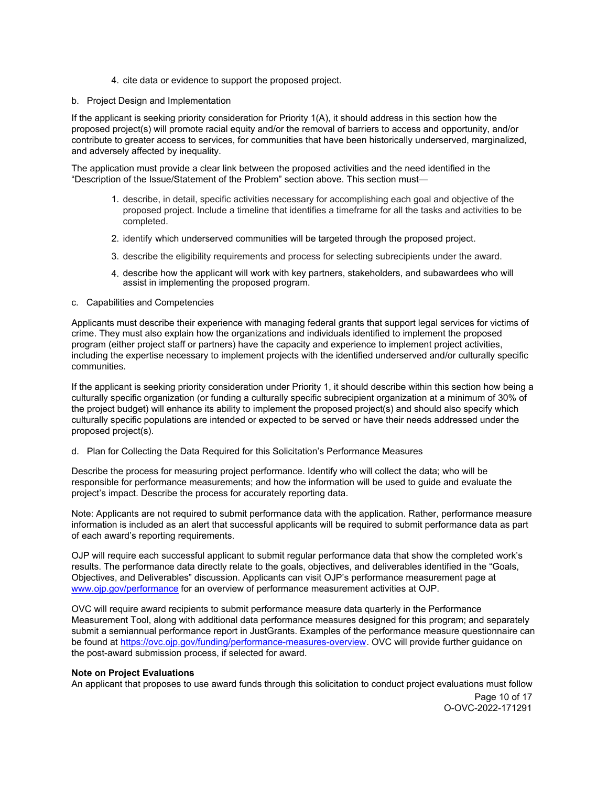4. cite data or evidence to support the proposed project.

# b. Project Design and Implementation

If the applicant is seeking priority consideration for Priority 1(A), it should address in this section how the proposed project(s) will promote racial equity and/or the removal of barriers to access and opportunity, and/or contribute to greater access to services, for communities that have been historically underserved, marginalized, and adversely affected by inequality.

The application must provide a clear link between the proposed activities and the need identified in the "Description of the Issue/Statement of the Problem" section above. This section must—

- 1. describe, in detail, specific activities necessary for accomplishing each goal and objective of the proposed project. Include a timeline that identifies a timeframe for all the tasks and activities to be completed.
- 2. identify which underserved communities will be targeted through the proposed project.
- 3. describe the eligibility requirements and process for selecting subrecipients under the award.
- 4. describe how the applicant will work with key partners, stakeholders, and subawardees who will assist in implementing the proposed program.

# c. Capabilities and Competencies

Applicants must describe their experience with managing federal grants that support legal services for victims of crime. They must also explain how the organizations and individuals identified to implement the proposed program (either project staff or partners) have the capacity and experience to implement project activities, including the expertise necessary to implement projects with the identified underserved and/or culturally specific communities.

If the applicant is seeking priority consideration under Priority 1, it should describe within this section how being a culturally specific organization (or funding a culturally specific subrecipient organization at a minimum of 30% of the project budget) will enhance its ability to implement the proposed project(s) and should also specify which culturally specific populations are intended or expected to be served or have their needs addressed under the proposed project(s).

# d. Plan for Collecting the Data Required for this Solicitation's Performance Measures

Describe the process for measuring project performance. Identify who will collect the data; who will be responsible for performance measurements; and how the information will be used to guide and evaluate the project's impact. Describe the process for accurately reporting data.

Note: Applicants are not required to submit performance data with the application. Rather, performance measure information is included as an alert that successful applicants will be required to submit performance data as part of each award's reporting requirements.

OJP will require each successful applicant to submit regular performance data that show the completed work's results. The performance data directly relate to the goals, objectives, and deliverables identified in the "Goals, Objectives, and Deliverables" discussion. Applicants can visit OJP's performance measurement page at [www.ojp.gov/performance](https://www.ojp.gov/performance) for an overview of performance measurement activities at OJP.

OVC will require award recipients to submit performance measure data quarterly in the Performance Measurement Tool, along with additional data performance measures designed for this program; and separately submit a semiannual performance report in JustGrants. Examples of the performance measure questionnaire can be found at [https://ovc.ojp.gov/funding/performance-measures-overview.](https://ovc.ojp.gov/funding/performance-measures-overview) OVC will provide further guidance on the post-award submission process, if selected for award.

# **Note on Project Evaluations**

An applicant that proposes to use award funds through this solicitation to conduct project evaluations must follow

Page 10 of 17 O-OVC-2022-171291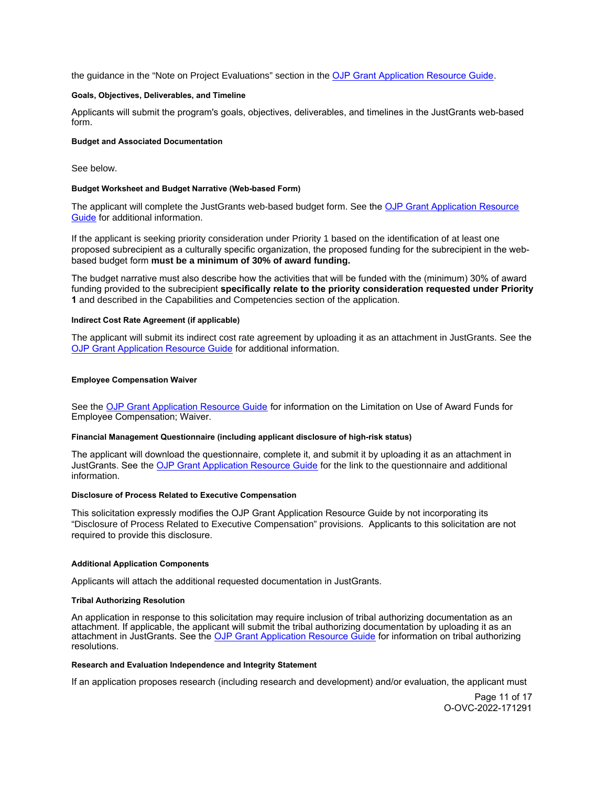<span id="page-10-0"></span>the guidance in the "Note on Project Evaluations" section in the [OJP Grant Application Resource Guide.](https://www.ojp.gov/funding/apply/ojp-grant-application-resource-guide#project-evaluations)

#### **Goals, Objectives, Deliverables, and Timeline**

Applicants will submit the program's goals, objectives, deliverables, and timelines in the JustGrants web-based form.

## **Budget and Associated Documentation**

See below.

#### **Budget Worksheet and Budget Narrative (Web-based Form)**

The applicant will complete the JustGrants web-based budget form. See the [OJP Grant Application Resource](https://www.ojp.gov/funding/apply/ojp-grant-application-resource-guide#budget-prep)  [Guide](https://www.ojp.gov/funding/apply/ojp-grant-application-resource-guide#budget-prep) for additional information.

If the applicant is seeking priority consideration under Priority 1 based on the identification of at least one proposed subrecipient as a culturally specific organization, the proposed funding for the subrecipient in the webbased budget form **must be a minimum of 30% of award funding.** 

The budget narrative must also describe how the activities that will be funded with the (minimum) 30% of award funding provided to the subrecipient **specifically relate to the priority consideration requested under Priority 1** and described in the Capabilities and Competencies section of the application.

#### **Indirect Cost Rate Agreement (if applicable)**

The applicant will submit its indirect cost rate agreement by uploading it as an attachment in JustGrants. See the [OJP Grant Application Resource Guide](https://www.ojp.gov/funding/apply/ojp-grant-application-resource-guide#indirect-cost) for additional information.

#### **Employee Compensation Waiver**

See the [OJP Grant Application Resource Guide](https://www.ojp.gov/funding/apply/ojp-grant-application-resource-guide#limitation-use-award) for information on the Limitation on Use of Award Funds for Employee Compensation; Waiver.

# **Financial Management Questionnaire (including applicant disclosure of high-risk status)**

The applicant will download the questionnaire, complete it, and submit it by uploading it as an attachment in JustGrants. See the [OJP Grant Application Resource Guide](https://www.ojp.gov/funding/apply/ojp-grant-application-resource-guide#fm-internal-controls-questionnaire) for the link to the questionnaire and additional information.

#### **Disclosure of Process Related to Executive Compensation**

This solicitation expressly modifies the OJP Grant Application Resource Guide by not incorporating its "Disclosure of Process Related to Executive Compensation" provisions. Applicants to this solicitation are not required to provide this disclosure.

#### **Additional Application Components**

Applicants will attach the additional requested documentation in JustGrants.

#### **Tribal Authorizing Resolution**

An application in response to this solicitation may require inclusion of tribal authorizing documentation as an attachment. If applicable, the applicant will submit the tribal authorizing documentation by uploading it as an attachment in JustGrants. See the [OJP Grant Application Resource Guide](https://www.ojp.gov/funding/apply/ojp-grant-application-resource-guide#tribal-authorizing-resolution) for information on tribal authorizing resolutions.

#### **Research and Evaluation Independence and Integrity Statement**

If an application proposes research (including research and development) and/or evaluation, the applicant must

Page 11 of 17 O-OVC-2022-171291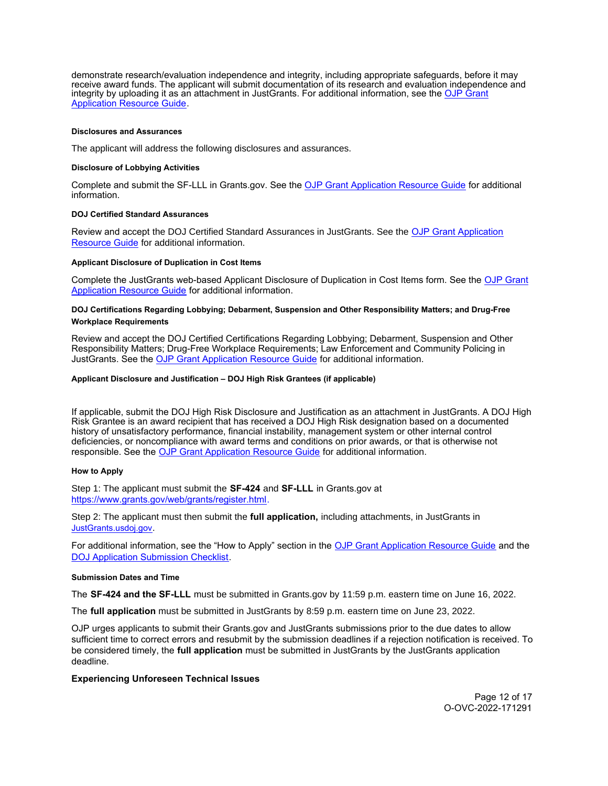<span id="page-11-0"></span>demonstrate research/evaluation independence and integrity, including appropriate safeguards, before it may receive award funds. The applicant will submit documentation of its research and evaluation independence and integrity by uploading it as an attachment in JustGrants. For additional information, see the [OJP Grant](https://www.ojp.gov/funding/apply/ojp-grant-application-resource-guide#research-evaluation)  [Application Resource Guide.](https://www.ojp.gov/funding/apply/ojp-grant-application-resource-guide#research-evaluation)

#### **Disclosures and Assurances**

The applicant will address the following disclosures and assurances.

#### **Disclosure of Lobbying Activities**

Complete and submit the SF-LLL in [Grants.gov.](https://Grants.gov) See the [OJP Grant Application Resource Guide](https://www.ojp.gov/funding/apply/ojp-grant-application-resource-guide#disclosure-lobby) for additional information.

#### **DOJ Certified Standard Assurances**

Review and accept the DOJ Certified Standard Assurances in JustGrants. See the [OJP Grant Application](https://www.ojp.gov/funding/apply/ojp-grant-application-resource-guide#administrative)  [Resource Guide](https://www.ojp.gov/funding/apply/ojp-grant-application-resource-guide#administrative) for additional information.

#### **Applicant Disclosure of Duplication in Cost Items**

Complete the JustGrants web-based Applicant Disclosure of Duplication in Cost Items form. See the [OJP Grant](https://www.ojp.gov/funding/apply/ojp-grant-application-resource-guide#applicant-disclosure-pending-applications)  [Application Resource Guide](https://www.ojp.gov/funding/apply/ojp-grant-application-resource-guide#applicant-disclosure-pending-applications) for additional information.

# **DOJ Certifications Regarding Lobbying; Debarment, Suspension and Other Responsibility Matters; and Drug-Free Workplace Requirements**

Review and accept the DOJ Certified Certifications Regarding Lobbying; Debarment, Suspension and Other Responsibility Matters; Drug-Free Workplace Requirements; Law Enforcement and Community Policing in JustGrants. See the [OJP Grant Application Resource Guide](https://www.ojp.gov/funding/apply/ojp-grant-application-resource-guide#administrative) for additional information.

#### **Applicant Disclosure and Justification – DOJ High Risk Grantees (if applicable)**

If applicable, submit the DOJ High Risk Disclosure and Justification as an attachment in JustGrants. A DOJ High Risk Grantee is an award recipient that has received a DOJ High Risk designation based on a documented history of unsatisfactory performance, financial instability, management system or other internal control deficiencies, or noncompliance with award terms and conditions on prior awards, or that is otherwise not responsible. See the [OJP Grant Application Resource Guide](https://www.ojp.gov/funding/apply/ojp-grant-application-resource-guide) for additional information.

#### **How to Apply**

Step 1: The applicant must submit the **SF-424** and **SF-LLL** in [Grants.gov](https://Grants.gov) at [https://www.grants.gov/web/grants/register.html.](https://www.grants.gov/web/grants/register.html)

Step 2: The applicant must then submit the **full application,** including attachments, in JustGrants in [JustGrants.usdoj.gov.](https://justicegrants.usdoj.gov/)

For additional information, see the "How to Apply" section in the [OJP Grant Application Resource Guide](https://www.ojp.gov/funding/apply/ojp-grant-application-resource-guide#apply) and the [DOJ Application Submission Checklist.](https://justicegrants.usdoj.gov/sites/g/files/xyckuh296/files/media/document/appln-submission-checklist.pdf)

#### **Submission Dates and Time**

The **SF-424 and the SF-LLL** must be submitted in [Grants.gov](https://Grants.gov) by 11:59 p.m. eastern time on June 16, 2022.

The **full application** must be submitted in JustGrants by 8:59 p.m. eastern time on June 23, 2022.

OJP urges applicants to submit their [Grants.gov](https://Grants.gov) and JustGrants submissions prior to the due dates to allow sufficient time to correct errors and resubmit by the submission deadlines if a rejection notification is received. To be considered timely, the **full application** must be submitted in JustGrants by the JustGrants application deadline.

#### **Experiencing Unforeseen Technical Issues**

Page 12 of 17 O-OVC-2022-171291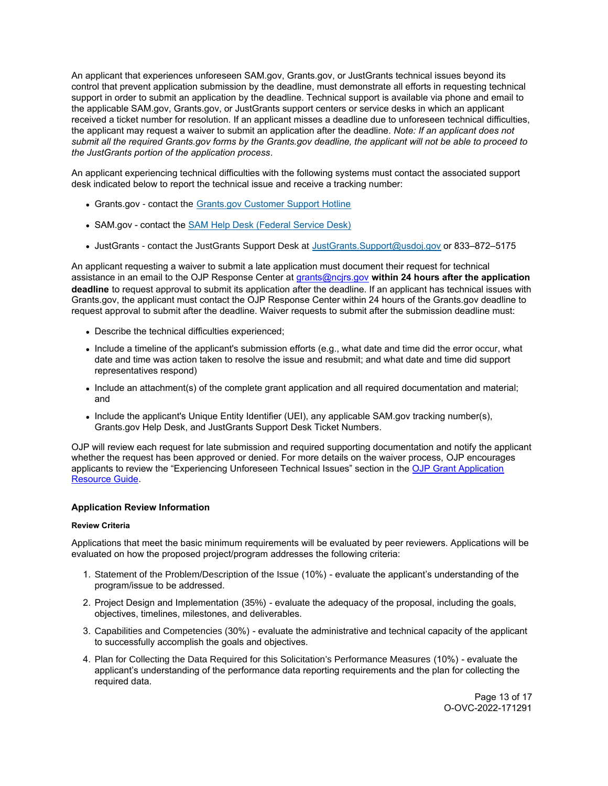<span id="page-12-0"></span>An applicant that experiences unforeseen SAM.gov, [Grants.gov,](https://Grants.gov) or JustGrants technical issues beyond its control that prevent application submission by the deadline, must demonstrate all efforts in requesting technical support in order to submit an application by the deadline. Technical support is available via phone and email to the applicable SAM.gov, [Grants.gov,](https://Grants.gov) or JustGrants support centers or service desks in which an applicant received a ticket number for resolution. If an applicant misses a deadline due to unforeseen technical difficulties, the applicant may request a waiver to submit an application after the deadline. *Note: If an applicant does not submit all the required [Grants.gov](https://Grants.gov) forms by the [Grants.gov](https://Grants.gov) deadline, the applicant will not be able to proceed to the JustGrants portion of the application process.* 

An applicant experiencing technical difficulties with the following systems must contact the associated support desk indicated below to report the technical issue and receive a tracking number:

- [Grants.gov](https://Grants.gov)  contact the [Grants.gov Customer Support Hotline](https://www.grants.gov/web/grants/support.html)
- SAM.gov contact the [SAM Help Desk \(Federal Service Desk\)](https://www.fsd.gov/gsafsd_sp)
- JustGrants contact the JustGrants Support Desk at [JustGrants.Support@usdoj.gov](mailto:JustGrants.Support@usdoj.gov) or 833–872–5175

An applicant requesting a waiver to submit a late application must document their request for technical assistance in an email to the OJP Response Center at [grants@ncjrs.gov](mailto:grants@ncjrs.gov) **within 24 hours after the application deadline** to request approval to submit its application after the deadline. If an applicant has technical issues with [Grants.gov,](https://Grants.gov) the applicant must contact the OJP Response Center within 24 hours of the [Grants.gov](https://Grants.gov) deadline to request approval to submit after the deadline. Waiver requests to submit after the submission deadline must:

- Describe the technical difficulties experienced;
- Include a timeline of the applicant's submission efforts (e.g., what date and time did the error occur, what date and time was action taken to resolve the issue and resubmit; and what date and time did support representatives respond)
- Include an attachment(s) of the complete grant application and all required documentation and material; and
- Include the applicant's Unique Entity Identifier (UEI), any applicable SAM.gov tracking number(s), [Grants.gov](https://Grants.gov) Help Desk, and JustGrants Support Desk Ticket Numbers.

OJP will review each request for late submission and required supporting documentation and notify the applicant whether the request has been approved or denied. For more details on the waiver process, OJP encourages applicants to review the "Experiencing Unforeseen Technical Issues" section in the [OJP Grant Application](https://www.ojp.gov/funding/apply/ojp-grant-application-resource-guide#experiencing-unforeseen-technical-issues)  [Resource Guide](https://www.ojp.gov/funding/apply/ojp-grant-application-resource-guide#experiencing-unforeseen-technical-issues).

# **Application Review Information**

# **Review Criteria**

Applications that meet the basic minimum requirements will be evaluated by peer reviewers. Applications will be evaluated on how the proposed project/program addresses the following criteria:

- 1. Statement of the Problem/Description of the Issue (10%) evaluate the applicant's understanding of the program/issue to be addressed.
- 2. Project Design and Implementation (35%) evaluate the adequacy of the proposal, including the goals, objectives, timelines, milestones, and deliverables.
- 3. Capabilities and Competencies (30%) evaluate the administrative and technical capacity of the applicant to successfully accomplish the goals and objectives.
- 4. Plan for Collecting the Data Required for this Solicitation's Performance Measures (10%) evaluate the applicant's understanding of the performance data reporting requirements and the plan for collecting the required data.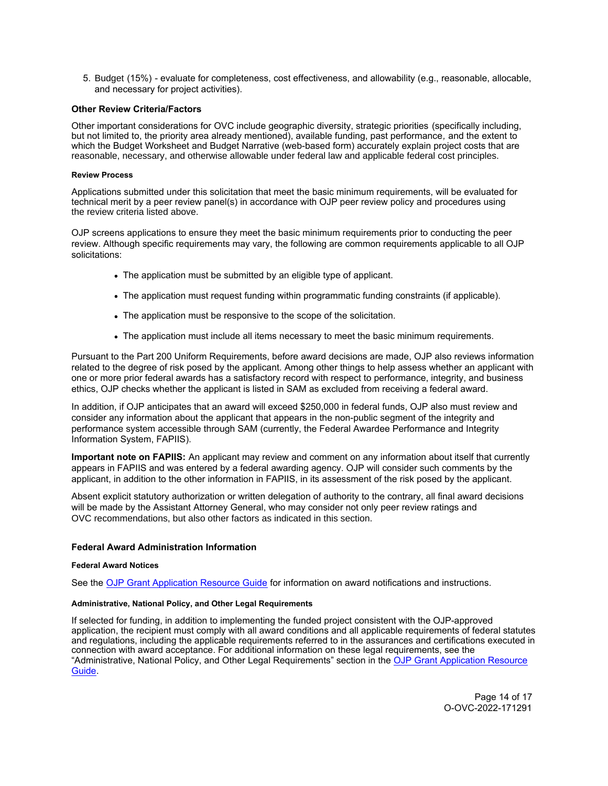<span id="page-13-0"></span>5. Budget (15%) - evaluate for completeness, cost effectiveness, and allowability (e.g., reasonable, allocable, and necessary for project activities).

# **Other Review Criteria/Factors**

Other important considerations for OVC include geographic diversity, strategic priorities (specifically including, but not limited to, the priority area already mentioned), available funding, past performance*,* and the extent to which the Budget Worksheet and Budget Narrative (web-based form) accurately explain project costs that are reasonable, necessary, and otherwise allowable under federal law and applicable federal cost principles.

#### **Review Process**

Applications submitted under this solicitation that meet the basic minimum requirements, will be evaluated for technical merit by a peer review panel(s) in accordance with OJP peer review policy and procedures using the review criteria listed above.

OJP screens applications to ensure they meet the basic minimum requirements prior to conducting the peer review. Although specific requirements may vary, the following are common requirements applicable to all OJP solicitations:

- The application must be submitted by an eligible type of applicant.
- The application must request funding within programmatic funding constraints (if applicable).
- The application must be responsive to the scope of the solicitation.
- The application must include all items necessary to meet the basic minimum requirements.

Pursuant to the Part 200 Uniform Requirements, before award decisions are made, OJP also reviews information related to the degree of risk posed by the applicant. Among other things to help assess whether an applicant with one or more prior federal awards has a satisfactory record with respect to performance, integrity, and business ethics, OJP checks whether the applicant is listed in SAM as excluded from receiving a federal award.

In addition, if OJP anticipates that an award will exceed \$250,000 in federal funds, OJP also must review and consider any information about the applicant that appears in the non-public segment of the integrity and performance system accessible through SAM (currently, the Federal Awardee Performance and Integrity Information System, FAPIIS).

**Important note on FAPIIS:** An applicant may review and comment on any information about itself that currently appears in FAPIIS and was entered by a federal awarding agency. OJP will consider such comments by the applicant, in addition to the other information in FAPIIS, in its assessment of the risk posed by the applicant.

Absent explicit statutory authorization or written delegation of authority to the contrary, all final award decisions will be made by the Assistant Attorney General, who may consider not only peer review ratings and OVC recommendations, but also other factors as indicated in this section.

#### **Federal Award Administration Information**

#### **Federal Award Notices**

See the [OJP Grant Application Resource Guide](https://www.ojp.gov/funding/apply/ojp-grant-application-resource-guide#federal-award-notices) for information on award notifications and instructions.

# **Administrative, National Policy, and Other Legal Requirements**

If selected for funding, in addition to implementing the funded project consistent with the OJP-approved application, the recipient must comply with all award conditions and all applicable requirements of federal statutes and regulations, including the applicable requirements referred to in the assurances and certifications executed in connection with award acceptance. For additional information on these legal requirements, see the "Administrative, National Policy, and Other Legal Requirements" section in the [OJP Grant Application Resource](https://www.ojp.gov/funding/apply/ojp-grant-application-resource-guide#administrative)  [Guide.](https://www.ojp.gov/funding/apply/ojp-grant-application-resource-guide#administrative)

> Page 14 of 17 O-OVC-2022-171291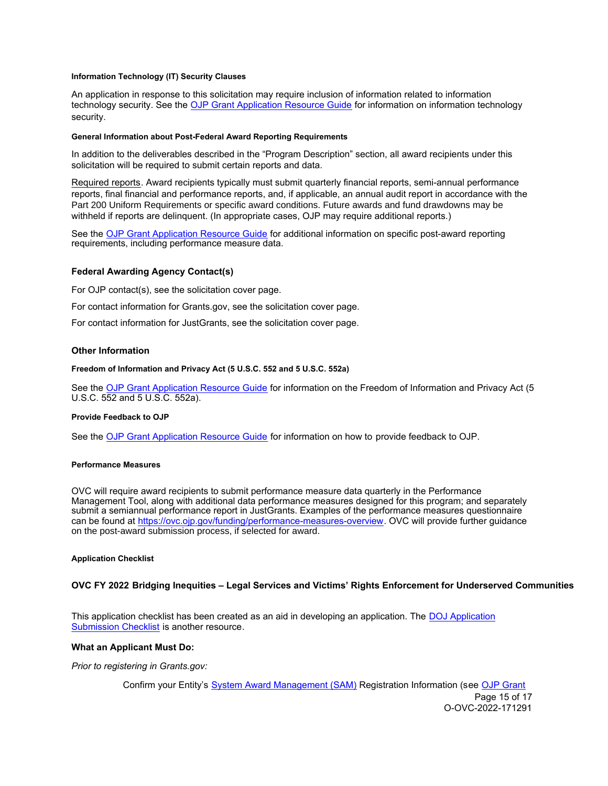## <span id="page-14-0"></span>**Information Technology (IT) Security Clauses**

An application in response to this solicitation may require inclusion of information related to information technology security. See the [OJP Grant Application Resource Guide](https://www.ojp.gov/funding/apply/ojp-grant-application-resource-guide#information-technology) for information on information technology security.

## **General Information about Post-Federal Award Reporting Requirements**

In addition to the deliverables described in the "Program Description" section, all award recipients under this solicitation will be required to submit certain reports and data.

Required reports. Award recipients typically must submit quarterly financial reports, semi-annual performance reports, final financial and performance reports, and, if applicable, an annual audit report in accordance with the Part 200 Uniform Requirements or specific award conditions. Future awards and fund drawdowns may be withheld if reports are delinquent. (In appropriate cases, OJP may require additional reports.)

See the [OJP Grant Application Resource Guide](https://www.ojp.gov/funding/apply/ojp-grant-application-resource-guide#general-information) for additional information on specific post-award reporting requirements, including performance measure data.

# **Federal Awarding Agency Contact(s)**

For OJP contact(s), see the solicitation cover page.

For contact information for [Grants.gov](https://Grants.gov), see the solicitation cover page.

For contact information for JustGrants, see the solicitation cover page.

# **Other Information**

#### **Freedom of Information and Privacy Act (5 U.S.C. 552 and 5 U.S.C. 552a)**

See the [OJP Grant Application Resource Guide](https://www.ojp.gov/funding/apply/ojp-grant-application-resource-guide#foia) for information on the Freedom of Information and Privacy Act (5 U.S.C. 552 and 5 U.S.C. 552a).

#### **Provide Feedback to OJP**

See the [OJP Grant Application Resource Guide](https://www.ojp.gov/funding/apply/ojp-grant-application-resource-guide#feedback) for information on how to provide feedback to OJP.

## **Performance Measures**

OVC will require award recipients to submit performance measure data quarterly in the Performance Management Tool, along with additional data performance measures designed for this program; and separately submit a semiannual performance report in JustGrants. Examples of the performance measures questionnaire can be found at [https://ovc.ojp.gov/funding/performance-measures-overview.](https://ovc.ojp.gov/funding/performance-measures-overview) OVC will provide further guidance on the post-award submission process, if selected for award.

#### **Application Checklist**

# **OVC FY 2022 Bridging Inequities – Legal Services and Victims' Rights Enforcement for Underserved Communities**

This application checklist has been created as an aid in developing an application. The DOJ Application [Submission Checklist](https://justicegrants.usdoj.gov/sites/g/files/xyckuh296/files/media/document/appln-submission-checklist.pdf) is another resource.

# **What an Applicant Must Do:**

*Prior to registering in [Grants.gov](https://Grants.gov):* 

Confirm your Entity's [System Award Management \(SAM\)](https://sam.gov/SAM/) Registration Information (see [OJP Grant](https://www.ojp.gov/funding/apply/ojp-grant-application-resource-guide#apply) 

Page 15 of 17 O-OVC-2022-171291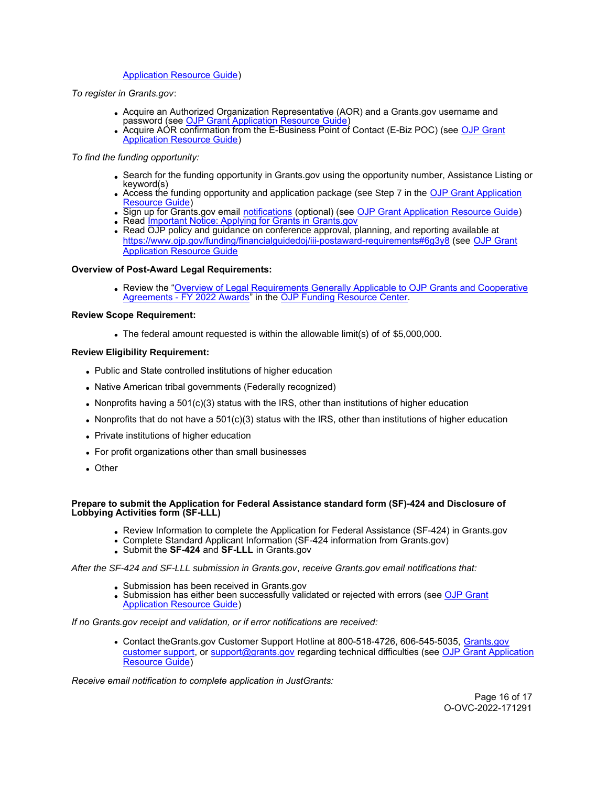# [Application Resource Guide\)](https://www.ojp.gov/funding/apply/ojp-grant-application-resource-guide#apply)

*To register in [Grants.gov](https://Grants.gov)*:

- Acquire an Authorized Organization Representative (AOR) and a [Grants.gov](https://Grants.gov) username and password (see [OJP Grant Application Resource Guide\)](https://www.ojp.gov/funding/apply/ojp-grant-application-resource-guide#apply)
- Acquire AOR confirmation from the E-Business Point of Contact (E-Biz POC) (see <u>OJP Grant</u> [Application Resource Guide\)](https://www.ojp.gov/funding/apply/ojp-grant-application-resource-guide#apply)

# *To find the funding opportunity:*

- Search for the funding opportunity in [Grants.gov](https://Grants.gov) using the opportunity number, Assistance Listing or keyword(s)
- Access the funding opportunity and application package (see Step 7 in the OJP Grant Application [Resource Guide\)](https://www.ojp.gov/funding/apply/ojp-grant-application-resource-guide#apply)
- Sign up for [Grants.gov](https://Grants.gov) email <u>notifications</u> (optional) (see <u>OJP Grant Application Resource Guide</u>)
- Read [Important Notice: Applying for Grants in Grants.gov](https://ojp.gov/funding/Apply/Grants-govInfo.htm)
- Read OJP policy and guidance on conference approval, planning, and reporting available at <https://www.ojp.gov/funding/financialguidedoj/iii-postaward-requirements#6g3y8> (see [OJP Grant](https://www.ojp.gov/funding/apply/ojp-grant-application-resource-guide#prior-approval)  [Application Resource Guide](https://www.ojp.gov/funding/apply/ojp-grant-application-resource-guide#prior-approval)

# **Overview of Post-Award Legal Requirements:**

Review the "[Overview of Legal Requirements Generally Applicable to OJP Grants and Cooperative](https://www.ojp.gov/funding/explore/legal-overview-awards)  [Agreements - FY 2022 Awards"](https://www.ojp.gov/funding/explore/legal-overview-awards) in the [OJP Funding Resource Center.](https://www.ojp.gov/funding/explore/legal-overview-awards)

# **Review Scope Requirement:**

The federal amount requested is within the allowable limit(s) of of \$5,000,000.

# **Review Eligibility Requirement:**

- Public and State controlled institutions of higher education
- Native American tribal governments (Federally recognized)
- Nonprofits having a 501(c)(3) status with the IRS, other than institutions of higher education
- Nonprofits that do not have a  $501(c)(3)$  status with the IRS, other than institutions of higher education
- Private institutions of higher education
- For profit organizations other than small businesses
- Other

# **Prepare to submit the Application for Federal Assistance standard form (SF)-424 and Disclosure of Lobbying Activities form (SF-LLL)**

- Review Information to complete the Application for Federal Assistance (SF-424) in [Grants.gov](https://Grants.gov)
- Complete Standard Applicant Information (SF-424 information from [Grants.gov\)](https://Grants.gov)
- Submit the **SF-424** and **SF-LLL** in [Grants.gov](https://Grants.gov)

*After the SF-424 and SF-LLL submission in [Grants.gov](https://Grants.gov)*, *receive [Grants.gov](https://Grants.gov) email notifications that:* 

- Submission has been received in [Grants.gov](https://Grants.gov)
- Submission has either been successfully validated or rejected with errors (see OJP Grant [Application Resource Guide\)](https://www.ojp.gov/funding/apply/ojp-grant-application-resource-guide#apply)

*If no [Grants.gov](https://Grants.gov) receipt and validation, or if error notifications are received:* 

Contact [theGrants.gov](https://theGrants.gov) Customer Support Hotline at 800-518-4726, 606-545-5035, [Grants.gov](https://www.grants.gov/web/grants/support.html)  [customer support,](https://www.grants.gov/web/grants/support.html) or [support@grants.gov](mailto:support@grants.gov) regarding technical difficulties (see [OJP Grant Application](https://www.ojp.gov/funding/apply/ojp-grant-application-resource-guide#apply)  [Resource Guide\)](https://www.ojp.gov/funding/apply/ojp-grant-application-resource-guide#apply)

*Receive email notification to complete application in JustGrants:*